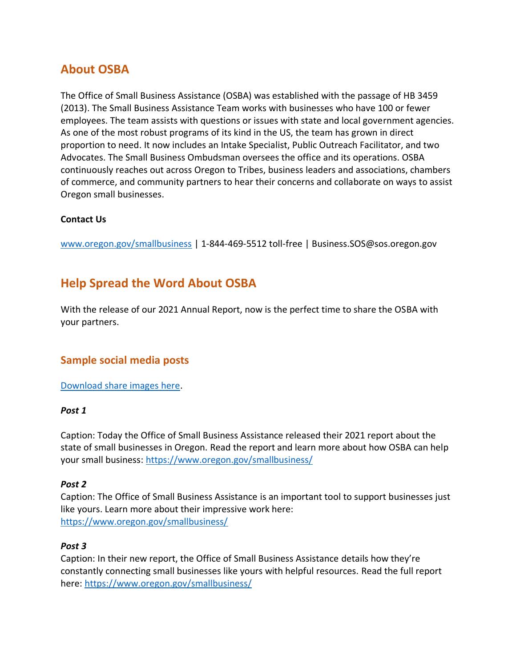# **About OSBA**

The Office of Small Business Assistance (OSBA) was established with the passage of HB 3459 (2013). The Small Business Assistance Team works with businesses who have 100 or fewer employees. The team assists with questions or issues with state and local government agencies. As one of the most robust programs of its kind in the US, the team has grown in direct proportion to need. It now includes an Intake Specialist, Public Outreach Facilitator, and two Advocates. The Small Business Ombudsman oversees the office and its operations. OSBA continuously reaches out across Oregon to Tribes, business leaders and associations, chambers of commerce, and community partners to hear their concerns and collaborate on ways to assist Oregon small businesses.

#### **Contact Us**

[www.oregon.gov/smallbusiness](http://www.oregon.gov/smallbusiness) | 1-844-469-5512 toll-free | Business.SOS@sos.oregon.gov

## **Help Spread the Word About OSBA**

With the release of our 2021 Annual Report, now is the perfect time to share the OSBA with your partners.

### **Sample social media posts**

[Download share images here.](https://bit.ly/3Ho29Pr)

#### *Post 1*

Caption: Today the Office of Small Business Assistance released their 2021 report about the state of small businesses in Oregon. Read the report and learn more about how OSBA can help your small business:<https://www.oregon.gov/smallbusiness/>

#### *Post 2*

Caption: The Office of Small Business Assistance is an important tool to support businesses just like yours. Learn more about their impressive work here: <https://www.oregon.gov/smallbusiness/>

#### *Post 3*

Caption: In their new report, the Office of Small Business Assistance details how they're constantly connecting small businesses like yours with helpful resources. Read the full report here: <https://www.oregon.gov/smallbusiness/>